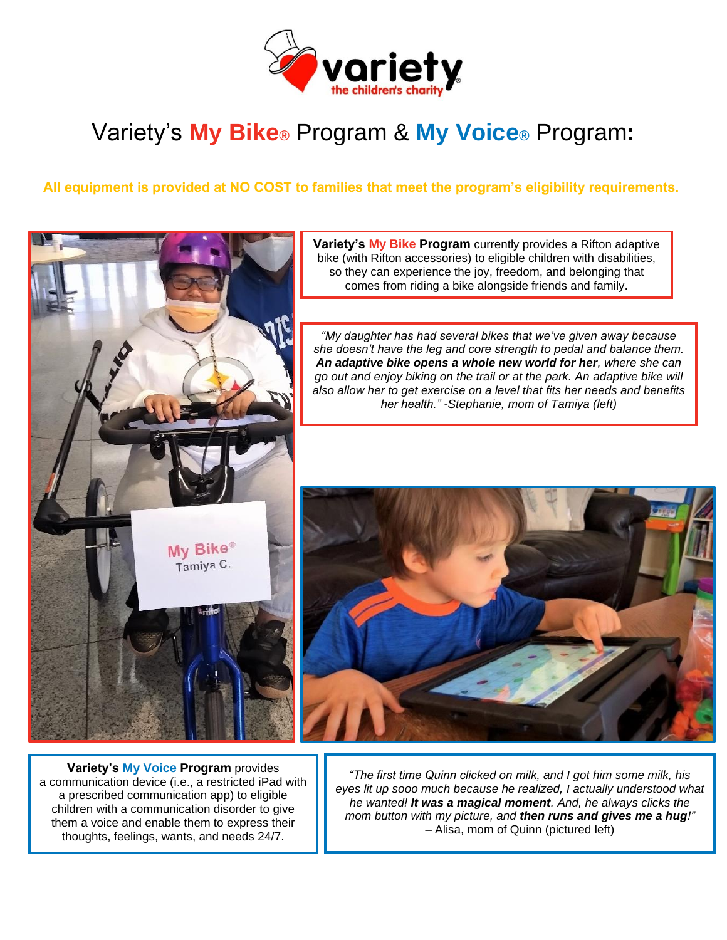

# Variety's **My Bike®** Program & **My Voice®** Program**:**

**All equipment is provided at NO COST to families that meet the program's eligibility requirements.**



**Variety's My Voice Program** provides a communication device (i.e., a restricted iPad with a prescribed communication app) to eligible children with a communication disorder to give them a voice and enable them to express their thoughts, feelings, wants, and needs 24/7.

*"The first time Quinn clicked on milk, and I got him some milk, his eyes lit up sooo much because he realized, I actually understood what he wanted! It was a magical moment. And, he always clicks the mom button with my picture, and then runs and gives me a hug!"* – Alisa, mom of Quinn (pictured left)